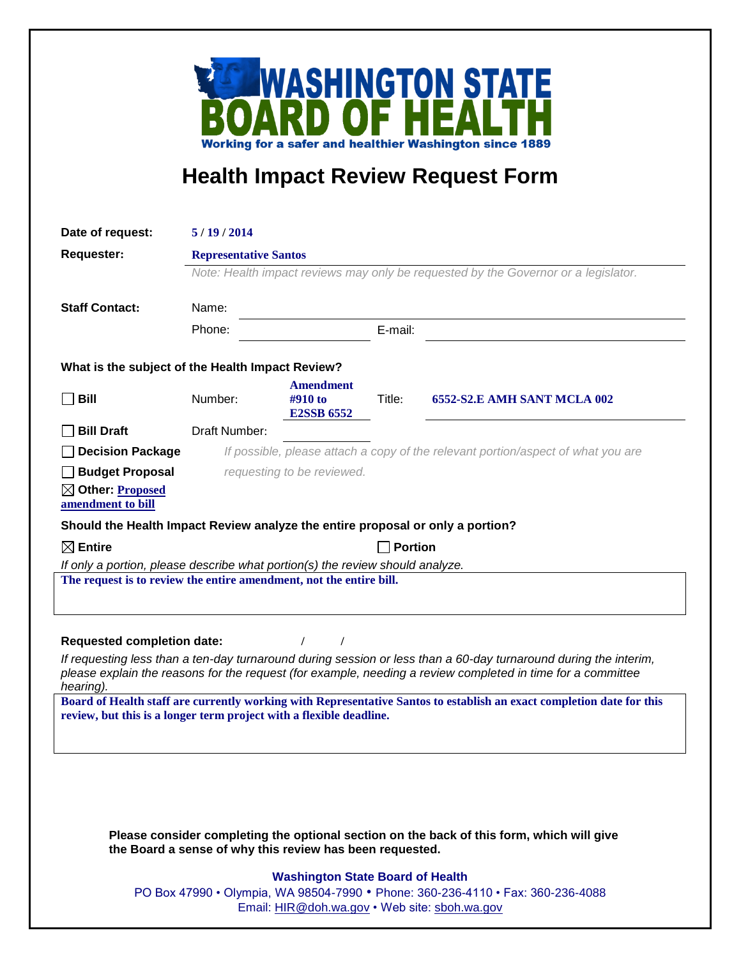

## **Health Impact Review Request Form**

| Date of request:                                                                                                                                                                                                                             | 5/19/2014                    |                              |         |                                                                                           |
|----------------------------------------------------------------------------------------------------------------------------------------------------------------------------------------------------------------------------------------------|------------------------------|------------------------------|---------|-------------------------------------------------------------------------------------------|
| <b>Requester:</b>                                                                                                                                                                                                                            | <b>Representative Santos</b> |                              |         |                                                                                           |
|                                                                                                                                                                                                                                              |                              |                              |         | Note: Health impact reviews may only be requested by the Governor or a legislator.        |
|                                                                                                                                                                                                                                              | Name:                        |                              |         |                                                                                           |
| <b>Staff Contact:</b>                                                                                                                                                                                                                        |                              |                              |         |                                                                                           |
|                                                                                                                                                                                                                                              | Phone:                       |                              | E-mail: |                                                                                           |
| What is the subject of the Health Impact Review?                                                                                                                                                                                             |                              |                              |         |                                                                                           |
|                                                                                                                                                                                                                                              |                              | <b>Amendment</b>             |         |                                                                                           |
| <b>Bill</b>                                                                                                                                                                                                                                  | Number:                      | #910 to<br><b>E2SSB 6552</b> | Title:  | 6552-S2.E AMH SANT MCLA 002                                                               |
| <b>Bill Draft</b>                                                                                                                                                                                                                            | Draft Number:                |                              |         |                                                                                           |
| <b>Decision Package</b>                                                                                                                                                                                                                      |                              |                              |         | If possible, please attach a copy of the relevant portion/aspect of what you are          |
| Budget Proposal                                                                                                                                                                                                                              |                              | requesting to be reviewed.   |         |                                                                                           |
| $\boxtimes$ Other: Proposed                                                                                                                                                                                                                  |                              |                              |         |                                                                                           |
| amendment to bill                                                                                                                                                                                                                            |                              |                              |         |                                                                                           |
| Should the Health Impact Review analyze the entire proposal or only a portion?                                                                                                                                                               |                              |                              |         |                                                                                           |
| $\boxtimes$ Entire                                                                                                                                                                                                                           | <b>Portion</b>               |                              |         |                                                                                           |
| If only a portion, please describe what portion(s) the review should analyze.<br>The request is to review the entire amendment, not the entire bill.                                                                                         |                              |                              |         |                                                                                           |
|                                                                                                                                                                                                                                              |                              |                              |         |                                                                                           |
|                                                                                                                                                                                                                                              |                              |                              |         |                                                                                           |
| <b>Requested completion date:</b>                                                                                                                                                                                                            |                              | $\prime$                     |         |                                                                                           |
| If requesting less than a ten-day turnaround during session or less than a 60-day turnaround during the interim,<br>please explain the reasons for the request (for example, needing a review completed in time for a committee<br>hearing). |                              |                              |         |                                                                                           |
| Board of Health staff are currently working with Representative Santos to establish an exact completion date for this                                                                                                                        |                              |                              |         |                                                                                           |
| review, but this is a longer term project with a flexible deadline.                                                                                                                                                                          |                              |                              |         |                                                                                           |
|                                                                                                                                                                                                                                              |                              |                              |         |                                                                                           |
|                                                                                                                                                                                                                                              |                              |                              |         |                                                                                           |
|                                                                                                                                                                                                                                              |                              |                              |         |                                                                                           |
|                                                                                                                                                                                                                                              |                              |                              |         |                                                                                           |
|                                                                                                                                                                                                                                              |                              |                              |         | Please consider completing the optional section on the back of this form, which will give |

## **Washington State Board of Health**

**the Board a sense of why this review has been requested.**

PO Box 47990 • Olympia, WA 98504-7990 • Phone: 360-236-4110 • Fax: 360-236-4088 Email: [HIR@doh.wa.gov](mailto:HIR@doh.wa.gov) • Web site: [sboh.wa.gov](http://www.sboh.wa.gov/hdcouncil/)